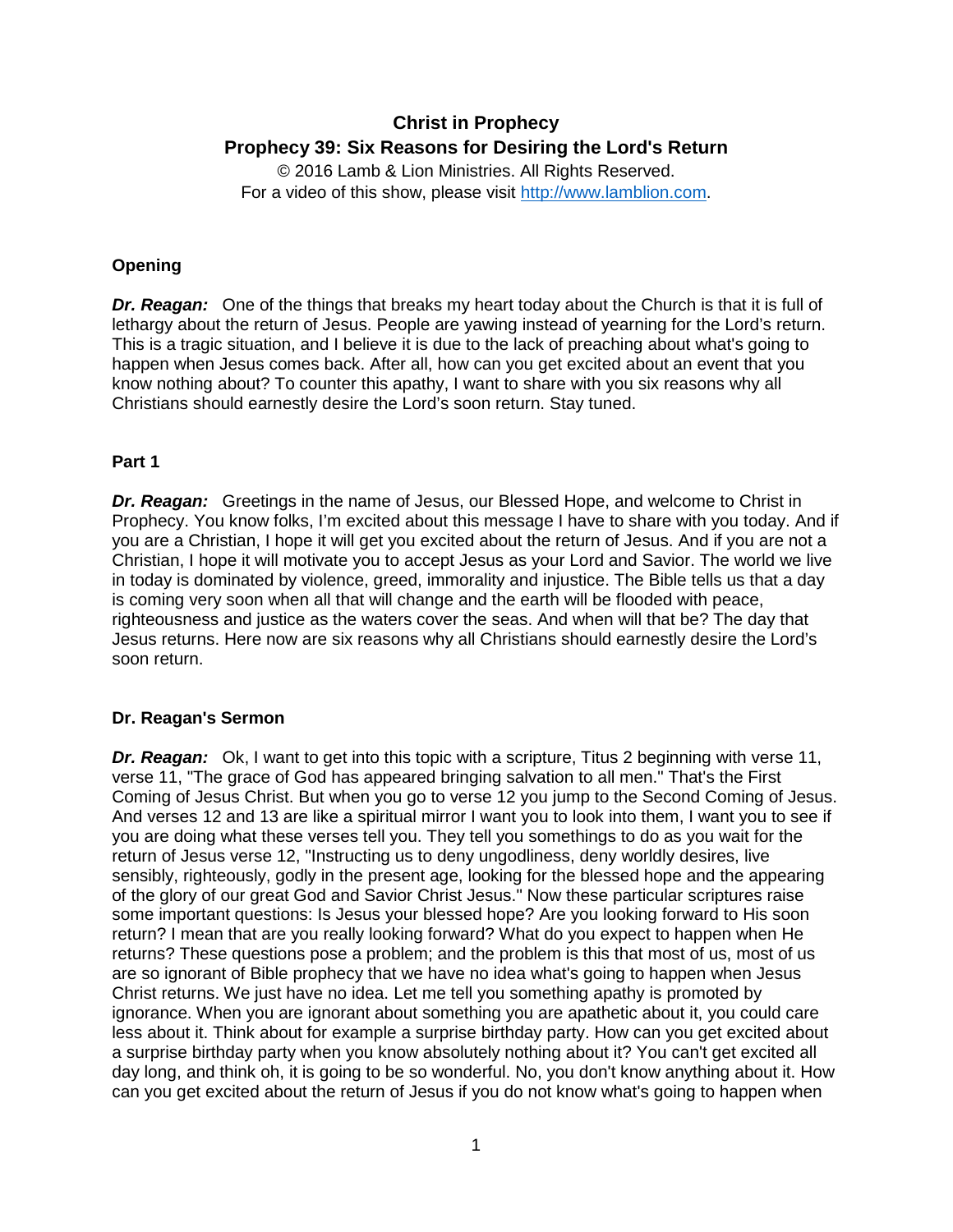# **Christ in Prophecy Prophecy 39: Six Reasons for Desiring the Lord's Return**

© 2016 Lamb & Lion Ministries. All Rights Reserved. For a video of this show, please visit [http://www.lamblion.com.](http://www.lamblion.com/)

## **Opening**

**Dr. Reagan:** One of the things that breaks my heart today about the Church is that it is full of lethargy about the return of Jesus. People are yawing instead of yearning for the Lord's return. This is a tragic situation, and I believe it is due to the lack of preaching about what's going to happen when Jesus comes back. After all, how can you get excited about an event that you know nothing about? To counter this apathy, I want to share with you six reasons why all Christians should earnestly desire the Lord's soon return. Stay tuned.

## **Part 1**

*Dr. Reagan:* Greetings in the name of Jesus, our Blessed Hope, and welcome to Christ in Prophecy. You know folks, I'm excited about this message I have to share with you today. And if you are a Christian, I hope it will get you excited about the return of Jesus. And if you are not a Christian, I hope it will motivate you to accept Jesus as your Lord and Savior. The world we live in today is dominated by violence, greed, immorality and injustice. The Bible tells us that a day is coming very soon when all that will change and the earth will be flooded with peace, righteousness and justice as the waters cover the seas. And when will that be? The day that Jesus returns. Here now are six reasons why all Christians should earnestly desire the Lord's soon return.

#### **Dr. Reagan's Sermon**

*Dr. Reagan:* Ok, I want to get into this topic with a scripture, Titus 2 beginning with verse 11, verse 11, "The grace of God has appeared bringing salvation to all men." That's the First Coming of Jesus Christ. But when you go to verse 12 you jump to the Second Coming of Jesus. And verses 12 and 13 are like a spiritual mirror I want you to look into them, I want you to see if you are doing what these verses tell you. They tell you somethings to do as you wait for the return of Jesus verse 12, "Instructing us to deny ungodliness, deny worldly desires, live sensibly, righteously, godly in the present age, looking for the blessed hope and the appearing of the glory of our great God and Savior Christ Jesus." Now these particular scriptures raise some important questions: Is Jesus your blessed hope? Are you looking forward to His soon return? I mean that are you really looking forward? What do you expect to happen when He returns? These questions pose a problem; and the problem is this that most of us, most of us are so ignorant of Bible prophecy that we have no idea what's going to happen when Jesus Christ returns. We just have no idea. Let me tell you something apathy is promoted by ignorance. When you are ignorant about something you are apathetic about it, you could care less about it. Think about for example a surprise birthday party. How can you get excited about a surprise birthday party when you know absolutely nothing about it? You can't get excited all day long, and think oh, it is going to be so wonderful. No, you don't know anything about it. How can you get excited about the return of Jesus if you do not know what's going to happen when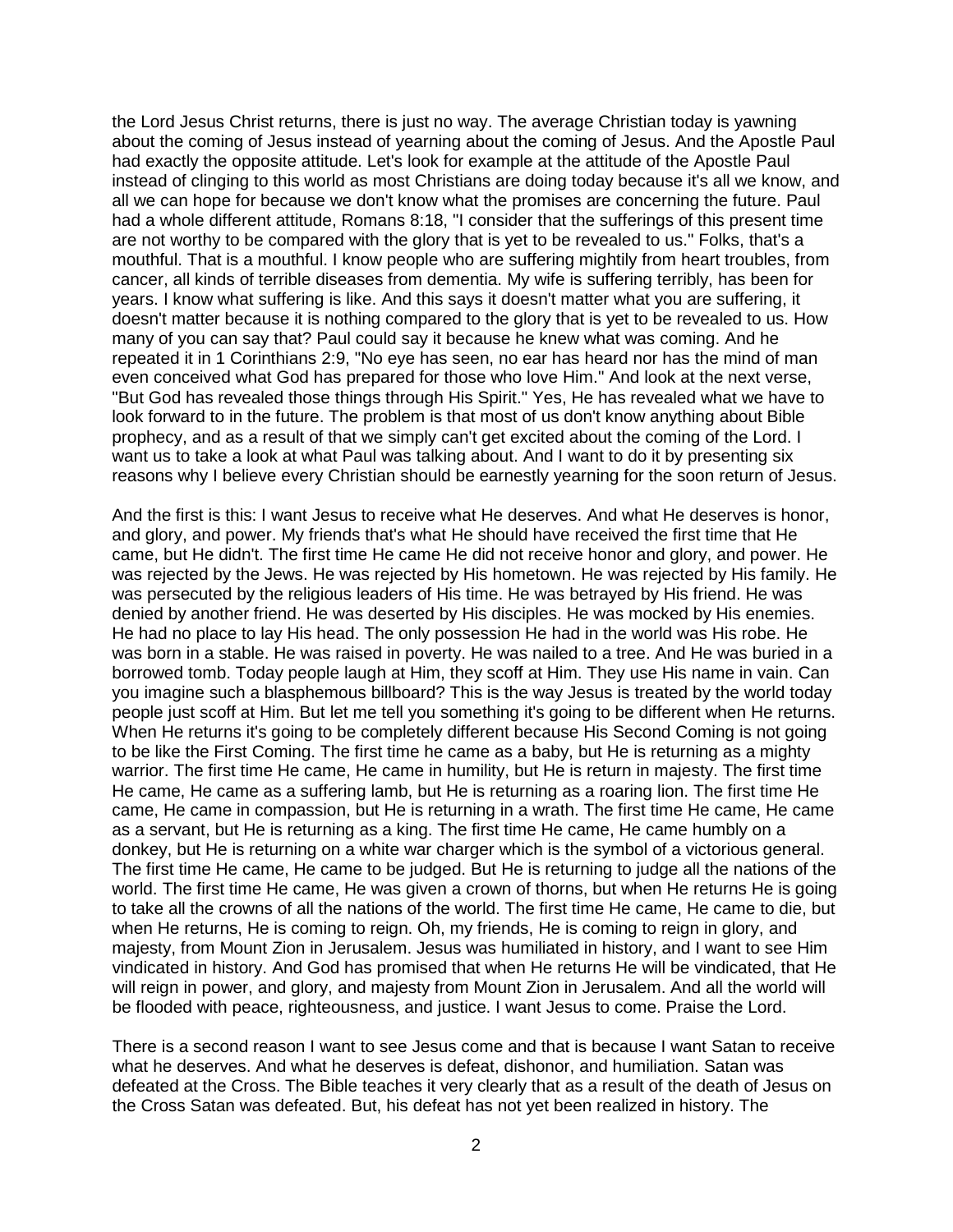the Lord Jesus Christ returns, there is just no way. The average Christian today is yawning about the coming of Jesus instead of yearning about the coming of Jesus. And the Apostle Paul had exactly the opposite attitude. Let's look for example at the attitude of the Apostle Paul instead of clinging to this world as most Christians are doing today because it's all we know, and all we can hope for because we don't know what the promises are concerning the future. Paul had a whole different attitude, Romans 8:18, "I consider that the sufferings of this present time are not worthy to be compared with the glory that is yet to be revealed to us." Folks, that's a mouthful. That is a mouthful. I know people who are suffering mightily from heart troubles, from cancer, all kinds of terrible diseases from dementia. My wife is suffering terribly, has been for years. I know what suffering is like. And this says it doesn't matter what you are suffering, it doesn't matter because it is nothing compared to the glory that is yet to be revealed to us. How many of you can say that? Paul could say it because he knew what was coming. And he repeated it in 1 Corinthians 2:9, "No eye has seen, no ear has heard nor has the mind of man even conceived what God has prepared for those who love Him." And look at the next verse, "But God has revealed those things through His Spirit." Yes, He has revealed what we have to look forward to in the future. The problem is that most of us don't know anything about Bible prophecy, and as a result of that we simply can't get excited about the coming of the Lord. I want us to take a look at what Paul was talking about. And I want to do it by presenting six reasons why I believe every Christian should be earnestly yearning for the soon return of Jesus.

And the first is this: I want Jesus to receive what He deserves. And what He deserves is honor, and glory, and power. My friends that's what He should have received the first time that He came, but He didn't. The first time He came He did not receive honor and glory, and power. He was rejected by the Jews. He was rejected by His hometown. He was rejected by His family. He was persecuted by the religious leaders of His time. He was betrayed by His friend. He was denied by another friend. He was deserted by His disciples. He was mocked by His enemies. He had no place to lay His head. The only possession He had in the world was His robe. He was born in a stable. He was raised in poverty. He was nailed to a tree. And He was buried in a borrowed tomb. Today people laugh at Him, they scoff at Him. They use His name in vain. Can you imagine such a blasphemous billboard? This is the way Jesus is treated by the world today people just scoff at Him. But let me tell you something it's going to be different when He returns. When He returns it's going to be completely different because His Second Coming is not going to be like the First Coming. The first time he came as a baby, but He is returning as a mighty warrior. The first time He came, He came in humility, but He is return in majesty. The first time He came, He came as a suffering lamb, but He is returning as a roaring lion. The first time He came, He came in compassion, but He is returning in a wrath. The first time He came, He came as a servant, but He is returning as a king. The first time He came, He came humbly on a donkey, but He is returning on a white war charger which is the symbol of a victorious general. The first time He came, He came to be judged. But He is returning to judge all the nations of the world. The first time He came, He was given a crown of thorns, but when He returns He is going to take all the crowns of all the nations of the world. The first time He came, He came to die, but when He returns, He is coming to reign. Oh, my friends, He is coming to reign in glory, and majesty, from Mount Zion in Jerusalem. Jesus was humiliated in history, and I want to see Him vindicated in history. And God has promised that when He returns He will be vindicated, that He will reign in power, and glory, and majesty from Mount Zion in Jerusalem. And all the world will be flooded with peace, righteousness, and justice. I want Jesus to come. Praise the Lord.

There is a second reason I want to see Jesus come and that is because I want Satan to receive what he deserves. And what he deserves is defeat, dishonor, and humiliation. Satan was defeated at the Cross. The Bible teaches it very clearly that as a result of the death of Jesus on the Cross Satan was defeated. But, his defeat has not yet been realized in history. The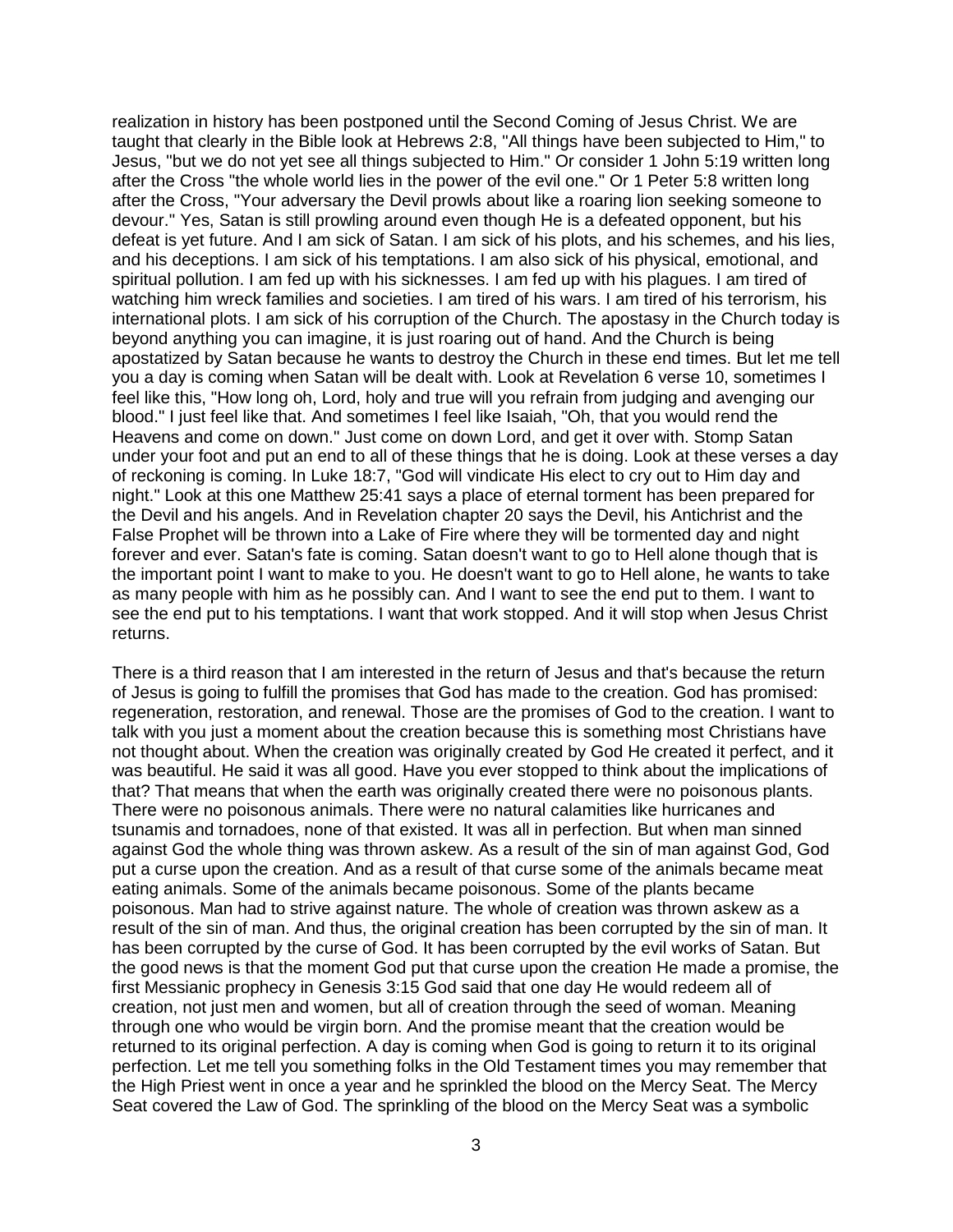realization in history has been postponed until the Second Coming of Jesus Christ. We are taught that clearly in the Bible look at Hebrews 2:8, "All things have been subjected to Him," to Jesus, "but we do not yet see all things subjected to Him." Or consider 1 John 5:19 written long after the Cross "the whole world lies in the power of the evil one." Or 1 Peter 5:8 written long after the Cross, "Your adversary the Devil prowls about like a roaring lion seeking someone to devour." Yes, Satan is still prowling around even though He is a defeated opponent, but his defeat is yet future. And I am sick of Satan. I am sick of his plots, and his schemes, and his lies, and his deceptions. I am sick of his temptations. I am also sick of his physical, emotional, and spiritual pollution. I am fed up with his sicknesses. I am fed up with his plagues. I am tired of watching him wreck families and societies. I am tired of his wars. I am tired of his terrorism, his international plots. I am sick of his corruption of the Church. The apostasy in the Church today is beyond anything you can imagine, it is just roaring out of hand. And the Church is being apostatized by Satan because he wants to destroy the Church in these end times. But let me tell you a day is coming when Satan will be dealt with. Look at Revelation 6 verse 10, sometimes I feel like this, "How long oh, Lord, holy and true will you refrain from judging and avenging our blood." I just feel like that. And sometimes I feel like Isaiah, "Oh, that you would rend the Heavens and come on down." Just come on down Lord, and get it over with. Stomp Satan under your foot and put an end to all of these things that he is doing. Look at these verses a day of reckoning is coming. In Luke 18:7, "God will vindicate His elect to cry out to Him day and night." Look at this one Matthew 25:41 says a place of eternal torment has been prepared for the Devil and his angels. And in Revelation chapter 20 says the Devil, his Antichrist and the False Prophet will be thrown into a Lake of Fire where they will be tormented day and night forever and ever. Satan's fate is coming. Satan doesn't want to go to Hell alone though that is the important point I want to make to you. He doesn't want to go to Hell alone, he wants to take as many people with him as he possibly can. And I want to see the end put to them. I want to see the end put to his temptations. I want that work stopped. And it will stop when Jesus Christ returns.

There is a third reason that I am interested in the return of Jesus and that's because the return of Jesus is going to fulfill the promises that God has made to the creation. God has promised: regeneration, restoration, and renewal. Those are the promises of God to the creation. I want to talk with you just a moment about the creation because this is something most Christians have not thought about. When the creation was originally created by God He created it perfect, and it was beautiful. He said it was all good. Have you ever stopped to think about the implications of that? That means that when the earth was originally created there were no poisonous plants. There were no poisonous animals. There were no natural calamities like hurricanes and tsunamis and tornadoes, none of that existed. It was all in perfection. But when man sinned against God the whole thing was thrown askew. As a result of the sin of man against God, God put a curse upon the creation. And as a result of that curse some of the animals became meat eating animals. Some of the animals became poisonous. Some of the plants became poisonous. Man had to strive against nature. The whole of creation was thrown askew as a result of the sin of man. And thus, the original creation has been corrupted by the sin of man. It has been corrupted by the curse of God. It has been corrupted by the evil works of Satan. But the good news is that the moment God put that curse upon the creation He made a promise, the first Messianic prophecy in Genesis 3:15 God said that one day He would redeem all of creation, not just men and women, but all of creation through the seed of woman. Meaning through one who would be virgin born. And the promise meant that the creation would be returned to its original perfection. A day is coming when God is going to return it to its original perfection. Let me tell you something folks in the Old Testament times you may remember that the High Priest went in once a year and he sprinkled the blood on the Mercy Seat. The Mercy Seat covered the Law of God. The sprinkling of the blood on the Mercy Seat was a symbolic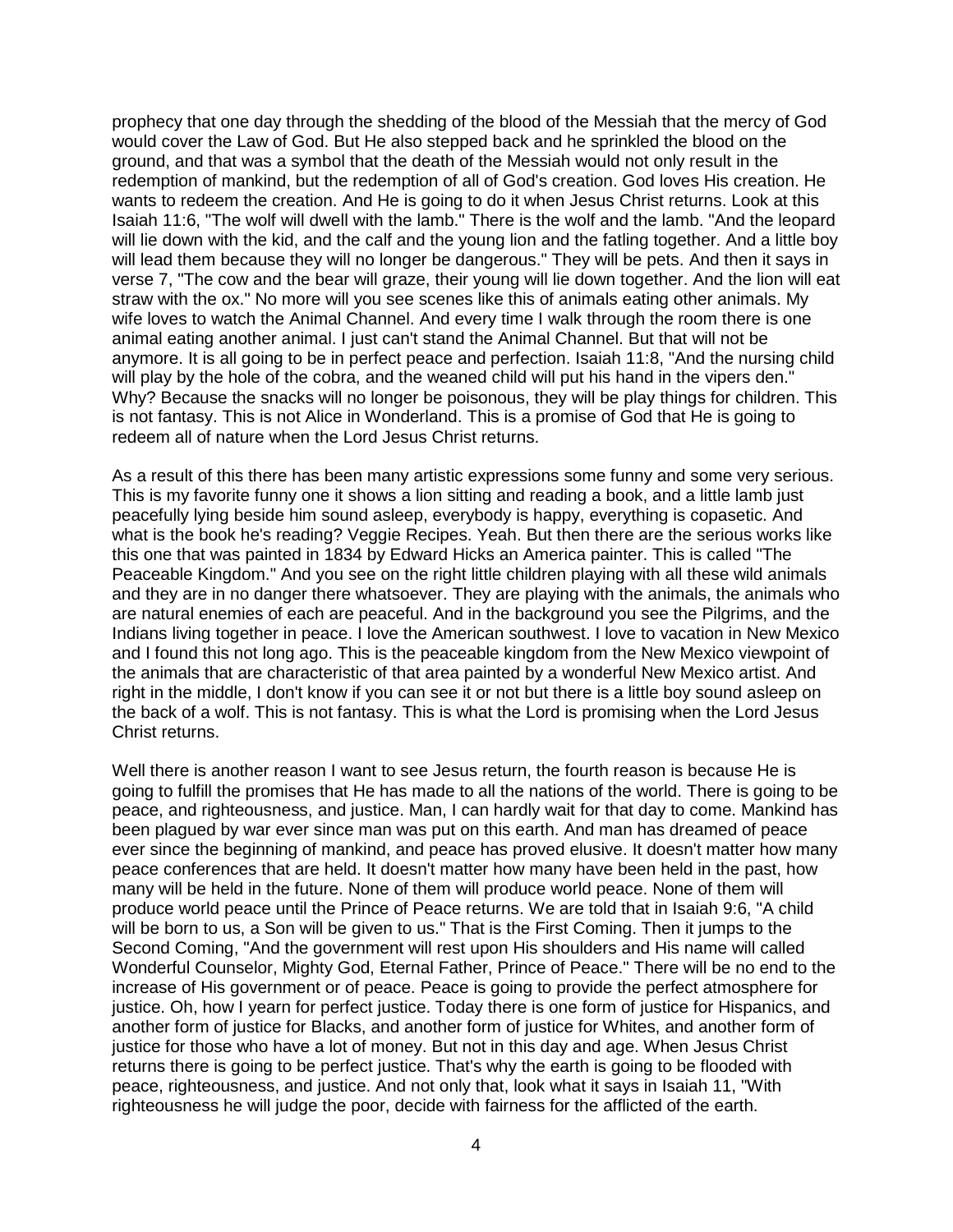prophecy that one day through the shedding of the blood of the Messiah that the mercy of God would cover the Law of God. But He also stepped back and he sprinkled the blood on the ground, and that was a symbol that the death of the Messiah would not only result in the redemption of mankind, but the redemption of all of God's creation. God loves His creation. He wants to redeem the creation. And He is going to do it when Jesus Christ returns. Look at this Isaiah 11:6, "The wolf will dwell with the lamb." There is the wolf and the lamb. "And the leopard will lie down with the kid, and the calf and the young lion and the fatling together. And a little boy will lead them because they will no longer be dangerous." They will be pets. And then it says in verse 7, "The cow and the bear will graze, their young will lie down together. And the lion will eat straw with the ox." No more will you see scenes like this of animals eating other animals. My wife loves to watch the Animal Channel. And every time I walk through the room there is one animal eating another animal. I just can't stand the Animal Channel. But that will not be anymore. It is all going to be in perfect peace and perfection. Isaiah 11:8, "And the nursing child will play by the hole of the cobra, and the weaned child will put his hand in the vipers den." Why? Because the snacks will no longer be poisonous, they will be play things for children. This is not fantasy. This is not Alice in Wonderland. This is a promise of God that He is going to redeem all of nature when the Lord Jesus Christ returns.

As a result of this there has been many artistic expressions some funny and some very serious. This is my favorite funny one it shows a lion sitting and reading a book, and a little lamb just peacefully lying beside him sound asleep, everybody is happy, everything is copasetic. And what is the book he's reading? Veggie Recipes. Yeah. But then there are the serious works like this one that was painted in 1834 by Edward Hicks an America painter. This is called "The Peaceable Kingdom." And you see on the right little children playing with all these wild animals and they are in no danger there whatsoever. They are playing with the animals, the animals who are natural enemies of each are peaceful. And in the background you see the Pilgrims, and the Indians living together in peace. I love the American southwest. I love to vacation in New Mexico and I found this not long ago. This is the peaceable kingdom from the New Mexico viewpoint of the animals that are characteristic of that area painted by a wonderful New Mexico artist. And right in the middle, I don't know if you can see it or not but there is a little boy sound asleep on the back of a wolf. This is not fantasy. This is what the Lord is promising when the Lord Jesus Christ returns.

Well there is another reason I want to see Jesus return, the fourth reason is because He is going to fulfill the promises that He has made to all the nations of the world. There is going to be peace, and righteousness, and justice. Man, I can hardly wait for that day to come. Mankind has been plagued by war ever since man was put on this earth. And man has dreamed of peace ever since the beginning of mankind, and peace has proved elusive. It doesn't matter how many peace conferences that are held. It doesn't matter how many have been held in the past, how many will be held in the future. None of them will produce world peace. None of them will produce world peace until the Prince of Peace returns. We are told that in Isaiah 9:6, "A child will be born to us, a Son will be given to us." That is the First Coming. Then it jumps to the Second Coming, "And the government will rest upon His shoulders and His name will called Wonderful Counselor, Mighty God, Eternal Father, Prince of Peace." There will be no end to the increase of His government or of peace. Peace is going to provide the perfect atmosphere for justice. Oh, how I yearn for perfect justice. Today there is one form of justice for Hispanics, and another form of justice for Blacks, and another form of justice for Whites, and another form of justice for those who have a lot of money. But not in this day and age. When Jesus Christ returns there is going to be perfect justice. That's why the earth is going to be flooded with peace, righteousness, and justice. And not only that, look what it says in Isaiah 11, "With righteousness he will judge the poor, decide with fairness for the afflicted of the earth.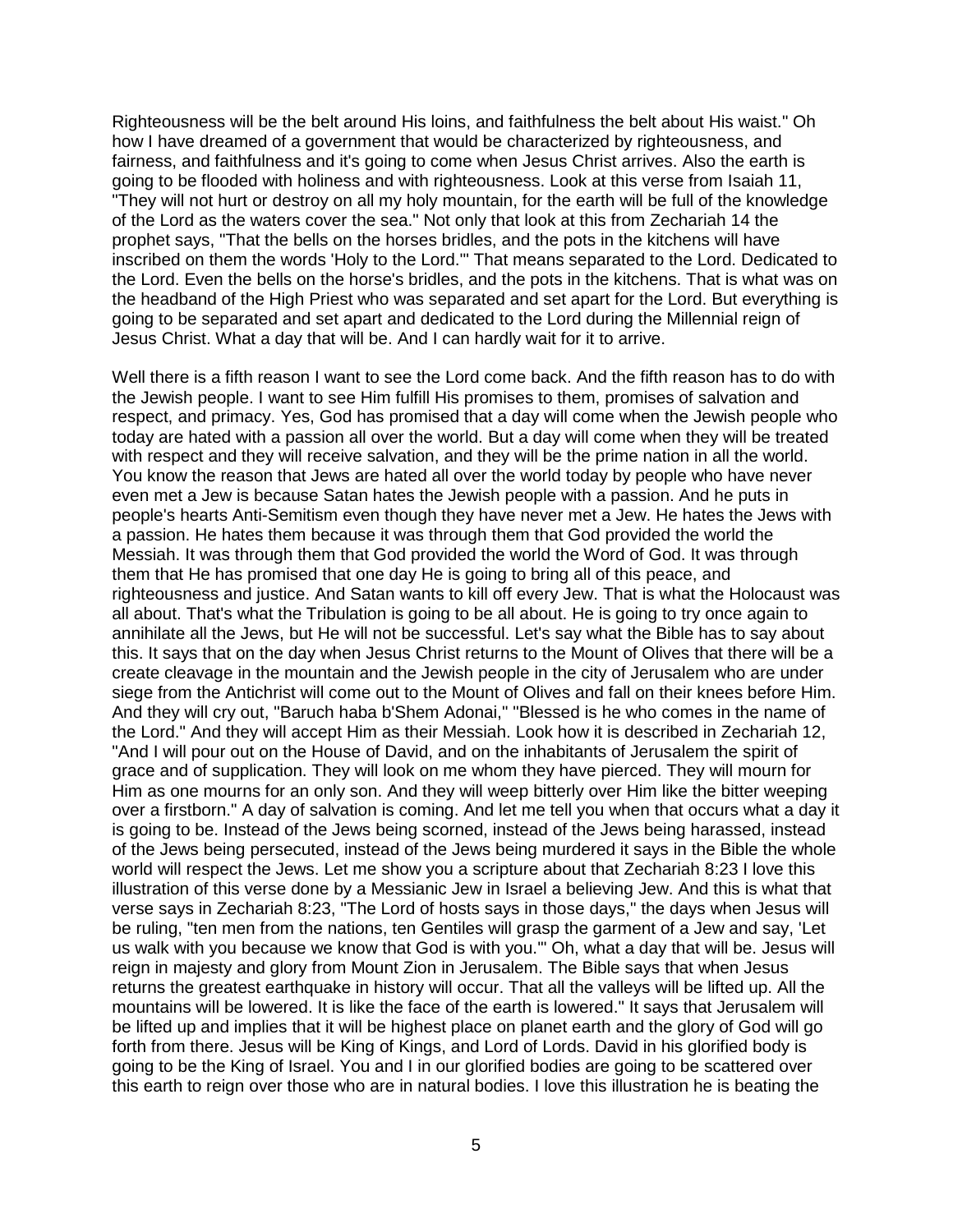Righteousness will be the belt around His loins, and faithfulness the belt about His waist." Oh how I have dreamed of a government that would be characterized by righteousness, and fairness, and faithfulness and it's going to come when Jesus Christ arrives. Also the earth is going to be flooded with holiness and with righteousness. Look at this verse from Isaiah 11, "They will not hurt or destroy on all my holy mountain, for the earth will be full of the knowledge of the Lord as the waters cover the sea." Not only that look at this from Zechariah 14 the prophet says, "That the bells on the horses bridles, and the pots in the kitchens will have inscribed on them the words 'Holy to the Lord.'" That means separated to the Lord. Dedicated to the Lord. Even the bells on the horse's bridles, and the pots in the kitchens. That is what was on the headband of the High Priest who was separated and set apart for the Lord. But everything is going to be separated and set apart and dedicated to the Lord during the Millennial reign of Jesus Christ. What a day that will be. And I can hardly wait for it to arrive.

Well there is a fifth reason I want to see the Lord come back. And the fifth reason has to do with the Jewish people. I want to see Him fulfill His promises to them, promises of salvation and respect, and primacy. Yes, God has promised that a day will come when the Jewish people who today are hated with a passion all over the world. But a day will come when they will be treated with respect and they will receive salvation, and they will be the prime nation in all the world. You know the reason that Jews are hated all over the world today by people who have never even met a Jew is because Satan hates the Jewish people with a passion. And he puts in people's hearts Anti-Semitism even though they have never met a Jew. He hates the Jews with a passion. He hates them because it was through them that God provided the world the Messiah. It was through them that God provided the world the Word of God. It was through them that He has promised that one day He is going to bring all of this peace, and righteousness and justice. And Satan wants to kill off every Jew. That is what the Holocaust was all about. That's what the Tribulation is going to be all about. He is going to try once again to annihilate all the Jews, but He will not be successful. Let's say what the Bible has to say about this. It says that on the day when Jesus Christ returns to the Mount of Olives that there will be a create cleavage in the mountain and the Jewish people in the city of Jerusalem who are under siege from the Antichrist will come out to the Mount of Olives and fall on their knees before Him. And they will cry out, "Baruch haba b'Shem Adonai," "Blessed is he who comes in the name of the Lord." And they will accept Him as their Messiah. Look how it is described in Zechariah 12, "And I will pour out on the House of David, and on the inhabitants of Jerusalem the spirit of grace and of supplication. They will look on me whom they have pierced. They will mourn for Him as one mourns for an only son. And they will weep bitterly over Him like the bitter weeping over a firstborn." A day of salvation is coming. And let me tell you when that occurs what a day it is going to be. Instead of the Jews being scorned, instead of the Jews being harassed, instead of the Jews being persecuted, instead of the Jews being murdered it says in the Bible the whole world will respect the Jews. Let me show you a scripture about that Zechariah 8:23 I love this illustration of this verse done by a Messianic Jew in Israel a believing Jew. And this is what that verse says in Zechariah 8:23, "The Lord of hosts says in those days," the days when Jesus will be ruling, "ten men from the nations, ten Gentiles will grasp the garment of a Jew and say, 'Let us walk with you because we know that God is with you.'" Oh, what a day that will be. Jesus will reign in majesty and glory from Mount Zion in Jerusalem. The Bible says that when Jesus returns the greatest earthquake in history will occur. That all the valleys will be lifted up. All the mountains will be lowered. It is like the face of the earth is lowered." It says that Jerusalem will be lifted up and implies that it will be highest place on planet earth and the glory of God will go forth from there. Jesus will be King of Kings, and Lord of Lords. David in his glorified body is going to be the King of Israel. You and I in our glorified bodies are going to be scattered over this earth to reign over those who are in natural bodies. I love this illustration he is beating the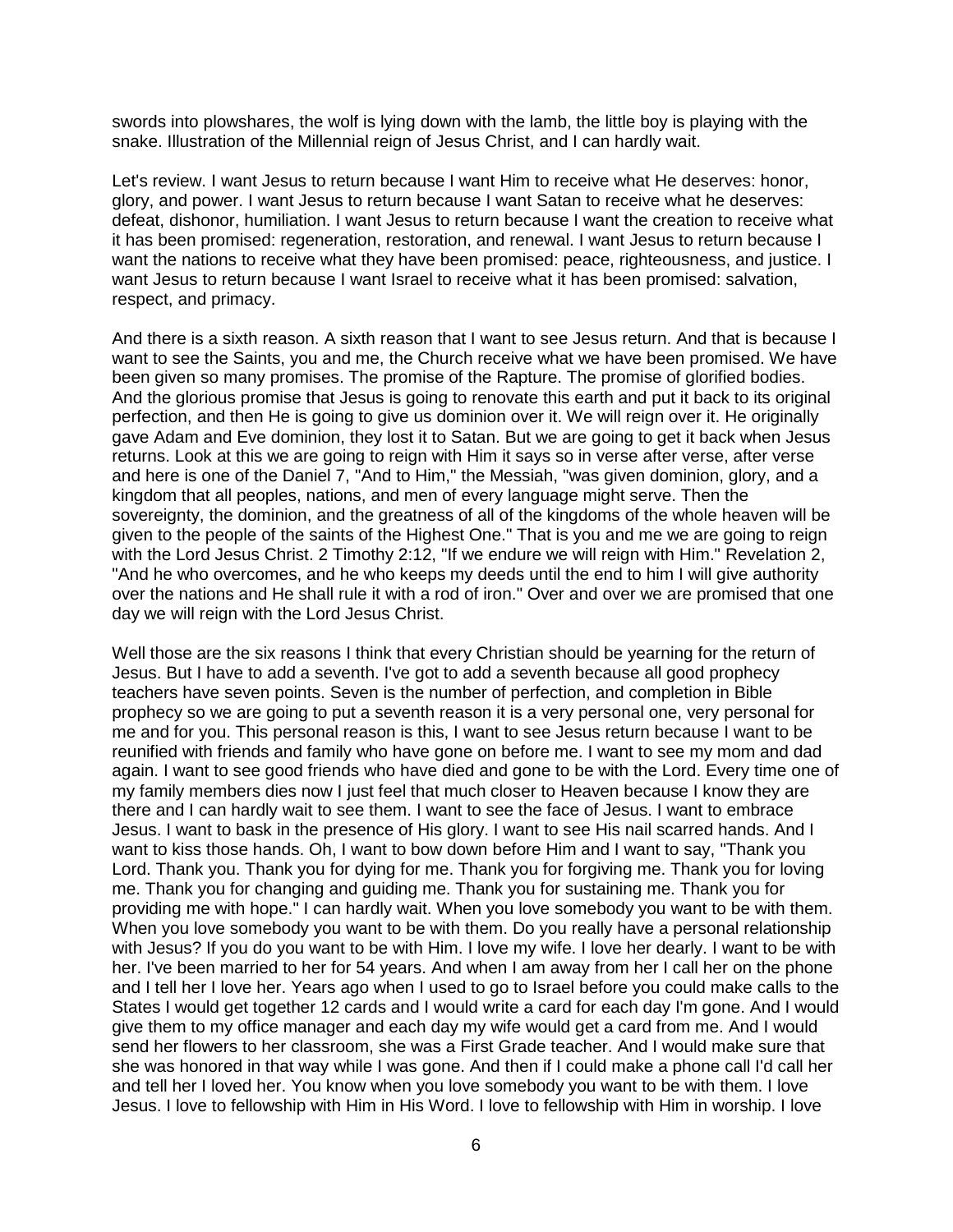swords into plowshares, the wolf is lying down with the lamb, the little boy is playing with the snake. Illustration of the Millennial reign of Jesus Christ, and I can hardly wait.

Let's review. I want Jesus to return because I want Him to receive what He deserves: honor, glory, and power. I want Jesus to return because I want Satan to receive what he deserves: defeat, dishonor, humiliation. I want Jesus to return because I want the creation to receive what it has been promised: regeneration, restoration, and renewal. I want Jesus to return because I want the nations to receive what they have been promised: peace, righteousness, and justice. I want Jesus to return because I want Israel to receive what it has been promised: salvation, respect, and primacy.

And there is a sixth reason. A sixth reason that I want to see Jesus return. And that is because I want to see the Saints, you and me, the Church receive what we have been promised. We have been given so many promises. The promise of the Rapture. The promise of glorified bodies. And the glorious promise that Jesus is going to renovate this earth and put it back to its original perfection, and then He is going to give us dominion over it. We will reign over it. He originally gave Adam and Eve dominion, they lost it to Satan. But we are going to get it back when Jesus returns. Look at this we are going to reign with Him it says so in verse after verse, after verse and here is one of the Daniel 7, "And to Him," the Messiah, "was given dominion, glory, and a kingdom that all peoples, nations, and men of every language might serve. Then the sovereignty, the dominion, and the greatness of all of the kingdoms of the whole heaven will be given to the people of the saints of the Highest One." That is you and me we are going to reign with the Lord Jesus Christ. 2 Timothy 2:12, "If we endure we will reign with Him." Revelation 2, "And he who overcomes, and he who keeps my deeds until the end to him I will give authority over the nations and He shall rule it with a rod of iron." Over and over we are promised that one day we will reign with the Lord Jesus Christ.

Well those are the six reasons I think that every Christian should be yearning for the return of Jesus. But I have to add a seventh. I've got to add a seventh because all good prophecy teachers have seven points. Seven is the number of perfection, and completion in Bible prophecy so we are going to put a seventh reason it is a very personal one, very personal for me and for you. This personal reason is this, I want to see Jesus return because I want to be reunified with friends and family who have gone on before me. I want to see my mom and dad again. I want to see good friends who have died and gone to be with the Lord. Every time one of my family members dies now I just feel that much closer to Heaven because I know they are there and I can hardly wait to see them. I want to see the face of Jesus. I want to embrace Jesus. I want to bask in the presence of His glory. I want to see His nail scarred hands. And I want to kiss those hands. Oh, I want to bow down before Him and I want to say, "Thank you Lord. Thank you. Thank you for dying for me. Thank you for forgiving me. Thank you for loving me. Thank you for changing and guiding me. Thank you for sustaining me. Thank you for providing me with hope." I can hardly wait. When you love somebody you want to be with them. When you love somebody you want to be with them. Do you really have a personal relationship with Jesus? If you do you want to be with Him. I love my wife. I love her dearly. I want to be with her. I've been married to her for 54 years. And when I am away from her I call her on the phone and I tell her I love her. Years ago when I used to go to Israel before you could make calls to the States I would get together 12 cards and I would write a card for each day I'm gone. And I would give them to my office manager and each day my wife would get a card from me. And I would send her flowers to her classroom, she was a First Grade teacher. And I would make sure that she was honored in that way while I was gone. And then if I could make a phone call I'd call her and tell her I loved her. You know when you love somebody you want to be with them. I love Jesus. I love to fellowship with Him in His Word. I love to fellowship with Him in worship. I love